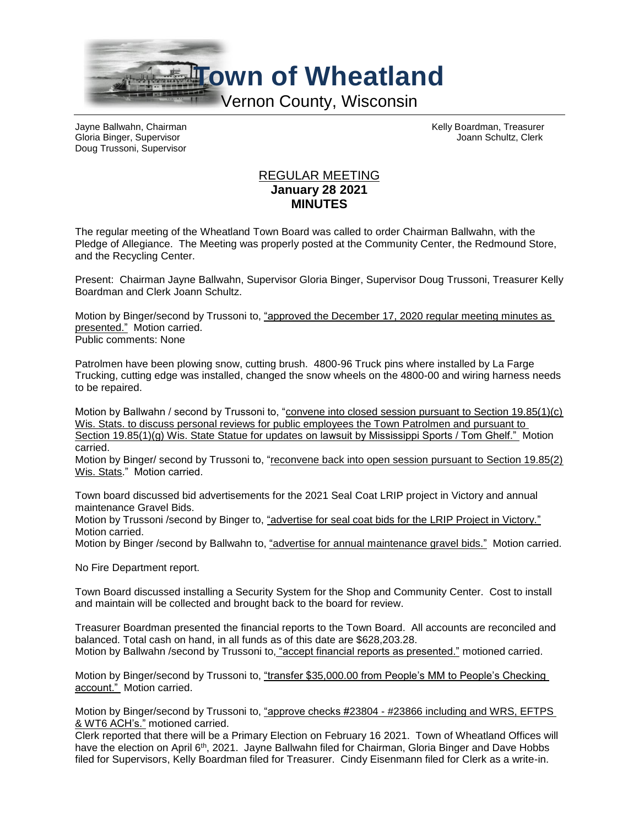

Gloria Binger, Supervisor Joann Schultz, Clerk Doug Trussoni, Supervisor

Jayne Ballwahn, Chairman Kelly Boardman, Treasurer

## REGULAR MEETING **January 28 2021 MINUTES**

The regular meeting of the Wheatland Town Board was called to order Chairman Ballwahn, with the Pledge of Allegiance. The Meeting was properly posted at the Community Center, the Redmound Store, and the Recycling Center.

Present: Chairman Jayne Ballwahn, Supervisor Gloria Binger, Supervisor Doug Trussoni, Treasurer Kelly Boardman and Clerk Joann Schultz.

Motion by Binger/second by Trussoni to, "approved the December 17, 2020 regular meeting minutes as presented." Motion carried. Public comments: None

Patrolmen have been plowing snow, cutting brush. 4800-96 Truck pins where installed by La Farge Trucking, cutting edge was installed, changed the snow wheels on the 4800-00 and wiring harness needs to be repaired.

Motion by Ballwahn / second by Trussoni to, "convene into closed session pursuant to Section 19.85(1)(c) Wis. Stats. to discuss personal reviews for public employees the Town Patrolmen and pursuant to Section 19.85(1)(g) Wis. State Statue for updates on lawsuit by Mississippi Sports / Tom Ghelf." Motion carried.

Motion by Binger/ second by Trussoni to, "reconvene back into open session pursuant to Section 19.85(2) Wis. Stats." Motion carried.

Town board discussed bid advertisements for the 2021 Seal Coat LRIP project in Victory and annual maintenance Gravel Bids.

Motion by Trussoni /second by Binger to, "advertise for seal coat bids for the LRIP Project in Victory." Motion carried.

Motion by Binger /second by Ballwahn to, "advertise for annual maintenance gravel bids." Motion carried.

No Fire Department report.

Town Board discussed installing a Security System for the Shop and Community Center. Cost to install and maintain will be collected and brought back to the board for review.

Treasurer Boardman presented the financial reports to the Town Board. All accounts are reconciled and balanced. Total cash on hand, in all funds as of this date are \$628,203.28. Motion by Ballwahn /second by Trussoni to, "accept financial reports as presented." motioned carried.

Motion by Binger/second by Trussoni to, "transfer \$35,000.00 from People's MM to People's Checking account." Motion carried.

Motion by Binger/second by Trussoni to, "approve checks #23804 - #23866 including and WRS, EFTPS & WT6 ACH's." motioned carried.

Clerk reported that there will be a Primary Election on February 16 2021. Town of Wheatland Offices will have the election on April 6<sup>th</sup>, 2021. Jayne Ballwahn filed for Chairman, Gloria Binger and Dave Hobbs filed for Supervisors, Kelly Boardman filed for Treasurer. Cindy Eisenmann filed for Clerk as a write-in.